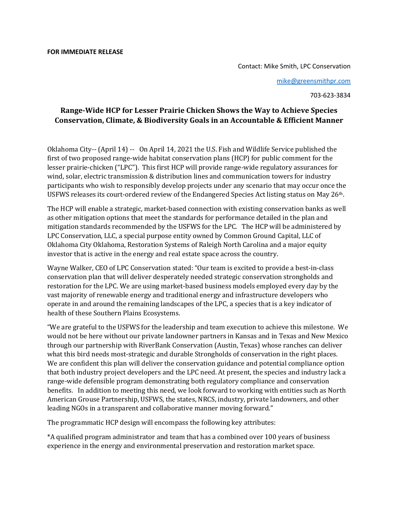## **FOR IMMEDIATE RELEASE**

Contact: Mike Smith, LPC Conservation

mike@greensmithpr.com

703-623-3834

## Range-Wide HCP for Lesser Prairie Chicken Shows the Way to Achieve Species **Conservation, Climate, & Biodiversity Goals in an Accountable & Efficient Manner**

Oklahoma City-- (April 14) -- On April 14, 2021 the U.S. Fish and Wildlife Service published the first of two proposed range-wide habitat conservation plans (HCP) for public comment for the lesser prairie-chicken ("LPC"). This first HCP will provide range-wide regulatory assurances for wind, solar, electric transmission & distribution lines and communication towers for industry participants who wish to responsibly develop projects under any scenario that may occur once the USFWS releases its court-ordered review of the Endangered Species Act listing status on May 26<sup>th</sup>.

The HCP will enable a strategic, market-based connection with existing conservation banks as well as other mitigation options that meet the standards for performance detailed in the plan and mitigation standards recommended by the USFWS for the LPC. The HCP will be administered by LPC Conservation, LLC, a special purpose entity owned by Common Ground Capital, LLC of Oklahoma City Oklahoma, Restoration Systems of Raleigh North Carolina and a major equity investor that is active in the energy and real estate space across the country.

Wayne Walker, CEO of LPC Conservation stated: "Our team is excited to provide a best-in-class conservation plan that will deliver desperately needed strategic conservation strongholds and restoration for the LPC. We are using market-based business models employed every day by the vast majority of renewable energy and traditional energy and infrastructure developers who operate in and around the remaining landscapes of the LPC, a species that is a key indicator of health of these Southern Plains Ecosystems.

"We are grateful to the USFWS for the leadership and team execution to achieve this milestone. We would not be here without our private landowner partners in Kansas and in Texas and New Mexico through our partnership with RiverBank Conservation (Austin, Texas) whose ranches can deliver what this bird needs most-strategic and durable Strongholds of conservation in the right places. We are confident this plan will deliver the conservation guidance and potential compliance option that both industry project developers and the LPC need. At present, the species and industry lack a range-wide defensible program demonstrating both regulatory compliance and conservation benefits. In addition to meeting this need, we look forward to working with entities such as North American Grouse Partnership, USFWS, the states, NRCS, industry, private landowners, and other leading NGOs in a transparent and collaborative manner moving forward."

The programmatic HCP design will encompass the following key attributes:

\*A qualified program administrator and team that has a combined over 100 years of business experience in the energy and environmental preservation and restoration market space.